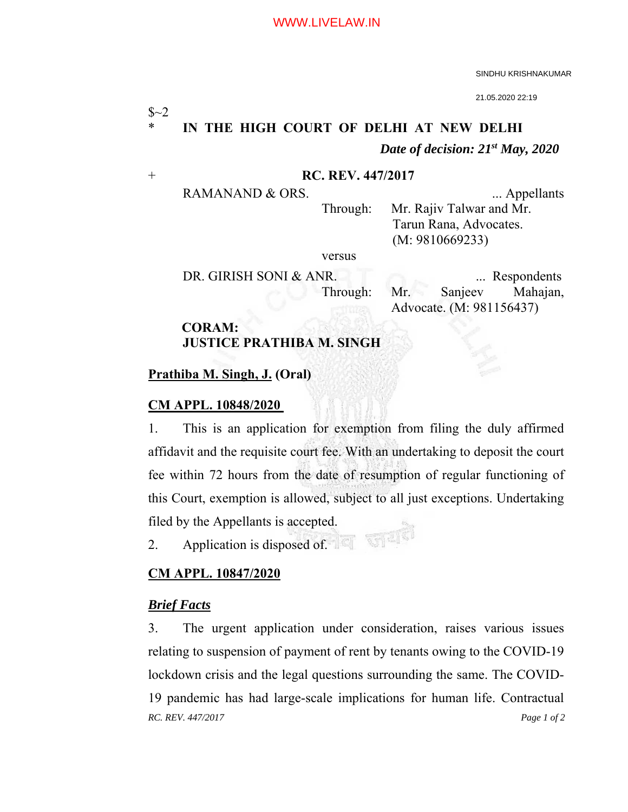SINDHU KRISHNAKUMAR

21.05.2020 22:19

# $$~2$ IN THE HIGH COURT OF DELHI AT NEW DELHI  *Date of decision: 21st May, 2020*

#### + **RC. REV. 447/2017**

RAMANAND & ORS. ... Appellants

 Through: Mr. Rajiv Talwar and Mr. Tarun Rana, Advocates. (M: 9810669233)

versus

DR. GIRISH SONI & ANR. ... Respondents Through: Mr. Sanjeev Mahajan, Advocate. (M: 981156437)

# **CORAM: JUSTICE PRATHIBA M. SINGH**

# **Prathiba M. Singh, J. (Oral)**

# **CM APPL. 10848/2020**

1. This is an application for exemption from filing the duly affirmed affidavit and the requisite court fee. With an undertaking to deposit the court fee within 72 hours from the date of resumption of regular functioning of this Court, exemption is allowed, subject to all just exceptions. Undertaking filed by the Appellants is accepted. 新可

2. Application is disposed of.

# **CM APPL. 10847/2020**

# *Brief Facts*

*RC. REV. 447/2017 Page 1 of 2*  3. The urgent application under consideration, raises various issues relating to suspension of payment of rent by tenants owing to the COVID-19 lockdown crisis and the legal questions surrounding the same. The COVID-19 pandemic has had large-scale implications for human life. Contractual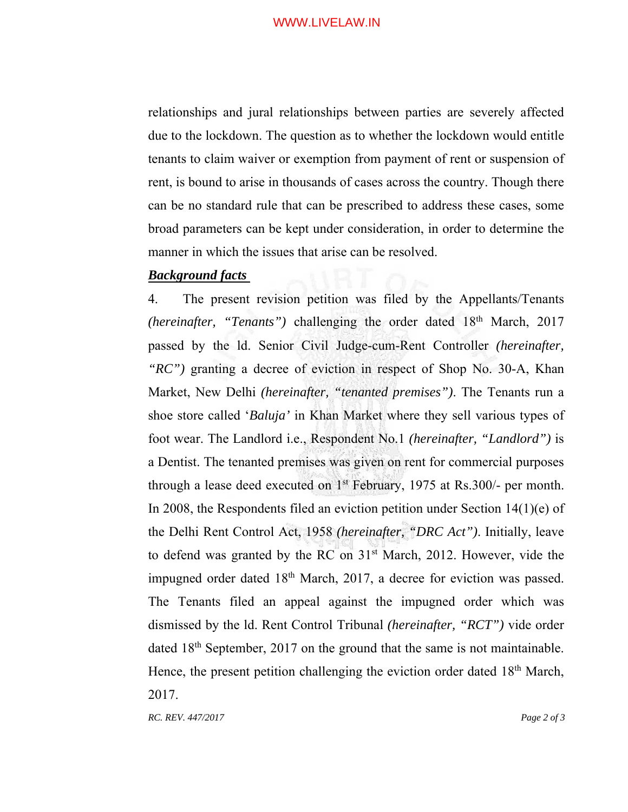relationships and jural relationships between parties are severely affected due to the lockdown. The question as to whether the lockdown would entitle tenants to claim waiver or exemption from payment of rent or suspension of rent, is bound to arise in thousands of cases across the country. Though there can be no standard rule that can be prescribed to address these cases, some broad parameters can be kept under consideration, in order to determine the manner in which the issues that arise can be resolved.

# *Background facts*

4. The present revision petition was filed by the Appellants/Tenants *(hereinafter, "Tenants")* challenging the order dated  $18<sup>th</sup>$  March, 2017 passed by the ld. Senior Civil Judge-cum-Rent Controller *(hereinafter, "RC")* granting a decree of eviction in respect of Shop No. 30-A, Khan Market, New Delhi *(hereinafter, "tenanted premises")*. The Tenants run a shoe store called '*Baluja'* in Khan Market where they sell various types of foot wear. The Landlord i.e., Respondent No.1 *(hereinafter, "Landlord")* is a Dentist. The tenanted premises was given on rent for commercial purposes through a lease deed executed on 1st February, 1975 at Rs.300/- per month. In 2008, the Respondents filed an eviction petition under Section 14(1)(e) of the Delhi Rent Control Act, 1958 *(hereinafter, "DRC Act")*. Initially, leave to defend was granted by the RC on  $31<sup>st</sup>$  March, 2012. However, vide the impugned order dated 18<sup>th</sup> March, 2017, a decree for eviction was passed. The Tenants filed an appeal against the impugned order which was dismissed by the ld. Rent Control Tribunal *(hereinafter, "RCT")* vide order dated 18th September, 2017 on the ground that the same is not maintainable. Hence, the present petition challenging the eviction order dated 18<sup>th</sup> March, 2017.

*RC. REV. 447/2017 Page 2 of 3*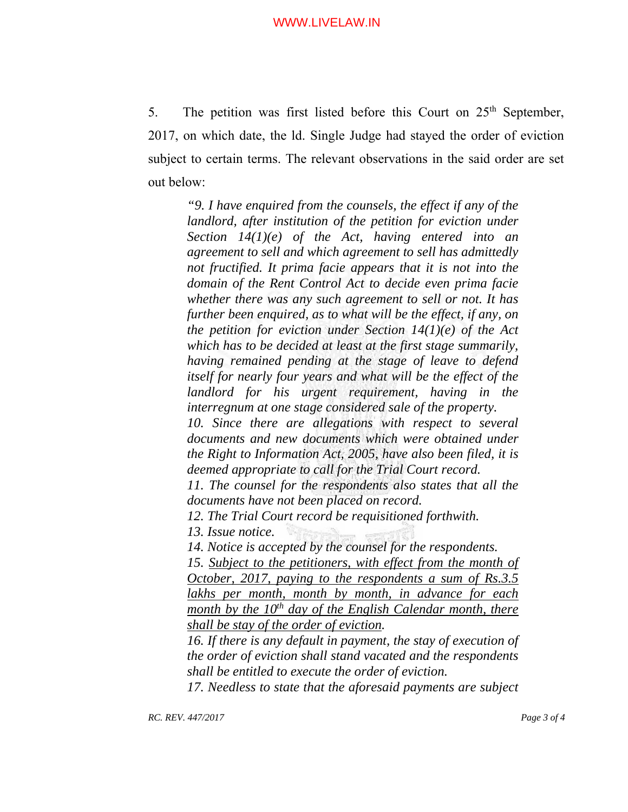5. The petition was first listed before this Court on  $25<sup>th</sup>$  September, 2017, on which date, the ld. Single Judge had stayed the order of eviction subject to certain terms. The relevant observations in the said order are set out below:

*"9. I have enquired from the counsels, the effect if any of the landlord, after institution of the petition for eviction under Section 14(1)(e) of the Act, having entered into an agreement to sell and which agreement to sell has admittedly not fructified. It prima facie appears that it is not into the domain of the Rent Control Act to decide even prima facie whether there was any such agreement to sell or not. It has further been enquired, as to what will be the effect, if any, on the petition for eviction under Section 14(1)(e) of the Act which has to be decided at least at the first stage summarily, having remained pending at the stage of leave to defend itself for nearly four years and what will be the effect of the landlord for his urgent requirement, having in the interregnum at one stage considered sale of the property.* 

*10. Since there are allegations with respect to several documents and new documents which were obtained under the Right to Information Act, 2005, have also been filed, it is deemed appropriate to call for the Trial Court record.* 

*11. The counsel for the respondents also states that all the documents have not been placed on record.* 

*12. The Trial Court record be requisitioned forthwith.* 

*13. Issue notice.* 

*14. Notice is accepted by the counsel for the respondents.* 

15. Subject to the petitioners, with effect from the month of *October, 2017, paying to the respondents a sum of Rs.3.5 lakhs per month, month by month, in advance for each month by the 10<sup>th</sup> day of the English Calendar month, there shall be stay of the order of eviction.* 

16. If there is any default in payment, the stay of execution of *the order of eviction shall stand vacated and the respondents shall be entitled to execute the order of eviction.* 

*17. Needless to state that the aforesaid payments are subject*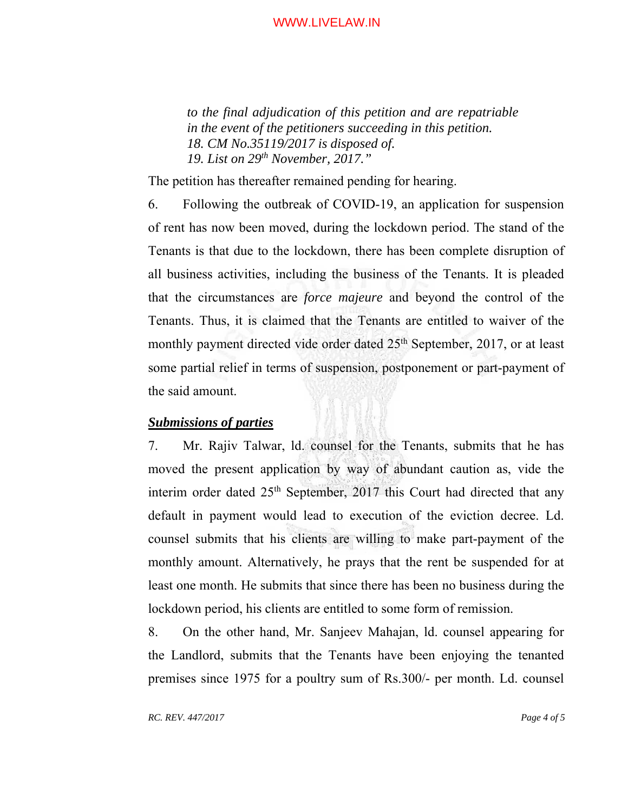*to the final adjudication of this petition and are repatriable in the event of the petitioners succeeding in this petition. 18. CM No.35119/2017 is disposed of. 19. List on 29th November, 2017."* 

The petition has thereafter remained pending for hearing.

6. Following the outbreak of COVID-19, an application for suspension of rent has now been moved, during the lockdown period. The stand of the Tenants is that due to the lockdown, there has been complete disruption of all business activities, including the business of the Tenants. It is pleaded that the circumstances are *force majeure* and beyond the control of the Tenants. Thus, it is claimed that the Tenants are entitled to waiver of the monthly payment directed vide order dated  $25<sup>th</sup>$  September, 2017, or at least some partial relief in terms of suspension, postponement or part-payment of the said amount.

# *Submissions of parties*

7. Mr. Rajiv Talwar, ld. counsel for the Tenants, submits that he has moved the present application by way of abundant caution as, vide the interim order dated 25<sup>th</sup> September, 2017 this Court had directed that any default in payment would lead to execution of the eviction decree. Ld. counsel submits that his clients are willing to make part-payment of the monthly amount. Alternatively, he prays that the rent be suspended for at least one month. He submits that since there has been no business during the lockdown period, his clients are entitled to some form of remission.

8. On the other hand, Mr. Sanjeev Mahajan, ld. counsel appearing for the Landlord, submits that the Tenants have been enjoying the tenanted premises since 1975 for a poultry sum of Rs.300/- per month. Ld. counsel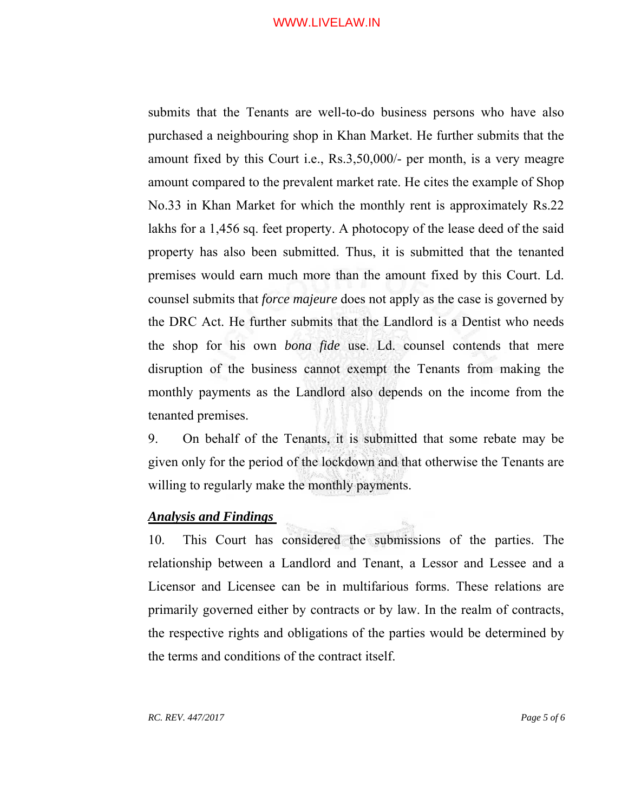submits that the Tenants are well-to-do business persons who have also purchased a neighbouring shop in Khan Market. He further submits that the amount fixed by this Court i.e., Rs.3,50,000/- per month, is a very meagre amount compared to the prevalent market rate. He cites the example of Shop No.33 in Khan Market for which the monthly rent is approximately Rs.22 lakhs for a 1,456 sq. feet property. A photocopy of the lease deed of the said property has also been submitted. Thus, it is submitted that the tenanted premises would earn much more than the amount fixed by this Court. Ld. counsel submits that *force majeure* does not apply as the case is governed by the DRC Act. He further submits that the Landlord is a Dentist who needs the shop for his own *bona fide* use. Ld. counsel contends that mere disruption of the business cannot exempt the Tenants from making the monthly payments as the Landlord also depends on the income from the tenanted premises.

9. On behalf of the Tenants, it is submitted that some rebate may be given only for the period of the lockdown and that otherwise the Tenants are willing to regularly make the monthly payments.

# *Analysis and Findings*

10. This Court has considered the submissions of the parties. The relationship between a Landlord and Tenant, a Lessor and Lessee and a Licensor and Licensee can be in multifarious forms. These relations are primarily governed either by contracts or by law. In the realm of contracts, the respective rights and obligations of the parties would be determined by the terms and conditions of the contract itself.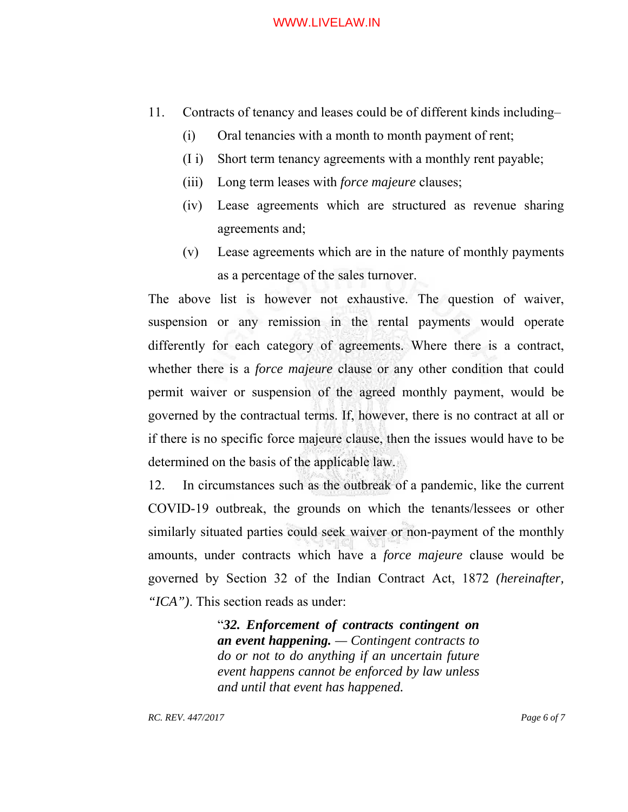- 11. Contracts of tenancy and leases could be of different kinds including–
	- (i) Oral tenancies with a month to month payment of rent;
	- (I i) Short term tenancy agreements with a monthly rent payable;
	- (iii) Long term leases with *force majeure* clauses;
	- (iv) Lease agreements which are structured as revenue sharing agreements and;
	- (v) Lease agreements which are in the nature of monthly payments as a percentage of the sales turnover.

The above list is however not exhaustive. The question of waiver, suspension or any remission in the rental payments would operate differently for each category of agreements. Where there is a contract, whether there is a *force majeure* clause or any other condition that could permit waiver or suspension of the agreed monthly payment, would be governed by the contractual terms. If, however, there is no contract at all or if there is no specific force majeure clause, then the issues would have to be determined on the basis of the applicable law.

12. In circumstances such as the outbreak of a pandemic, like the current COVID-19 outbreak, the grounds on which the tenants/lessees or other similarly situated parties could seek waiver or non-payment of the monthly amounts, under contracts which have a *force majeure* clause would be governed by Section 32 of the Indian Contract Act, 1872 *(hereinafter, "ICA")*. This section reads as under:

> "*32. Enforcement of contracts contingent on an event happening. — Contingent contracts to do or not to do anything if an uncertain future event happens cannot be enforced by law unless and until that event has happened.*

*RC. REV. 447/2017 Page 6 of 7*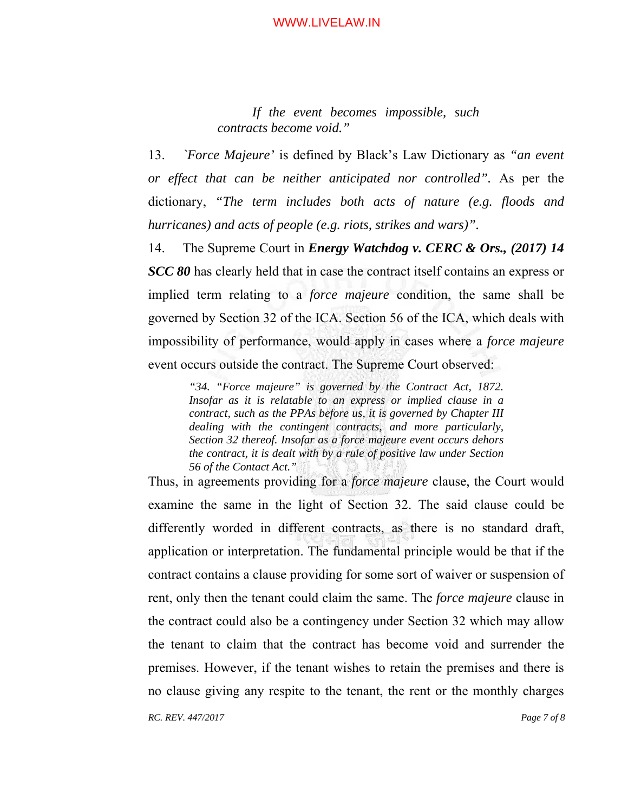*If the event becomes impossible, such contracts become void."* 

13. *`Force Majeure'* is defined by Black's Law Dictionary as *"an event or effect that can be neither anticipated nor controlled".* As per the dictionary, *"The term includes both acts of nature (e.g. floods and hurricanes) and acts of people (e.g. riots, strikes and wars)".*

14. The Supreme Court in *Energy Watchdog v. CERC & Ors., (2017) 14 SCC 80* has clearly held that in case the contract itself contains an express or implied term relating to a *force majeure* condition, the same shall be governed by Section 32 of the ICA. Section 56 of the ICA, which deals with impossibility of performance, would apply in cases where a *force majeure* event occurs outside the contract. The Supreme Court observed:

*"34. "Force majeure" is governed by the Contract Act, 1872. Insofar as it is relatable to an express or implied clause in a contract, such as the PPAs before us, it is governed by Chapter III dealing with the contingent contracts, and more particularly, Section 32 thereof. Insofar as a force majeure event occurs dehors the contract, it is dealt with by a rule of positive law under Section 56 of the Contact Act."* 

*RC. REV. 447/2017 Page 7 of 8*  Thus, in agreements providing for a *force majeure* clause, the Court would examine the same in the light of Section 32. The said clause could be differently worded in different contracts, as there is no standard draft, application or interpretation. The fundamental principle would be that if the contract contains a clause providing for some sort of waiver or suspension of rent, only then the tenant could claim the same. The *force majeure* clause in the contract could also be a contingency under Section 32 which may allow the tenant to claim that the contract has become void and surrender the premises. However, if the tenant wishes to retain the premises and there is no clause giving any respite to the tenant, the rent or the monthly charges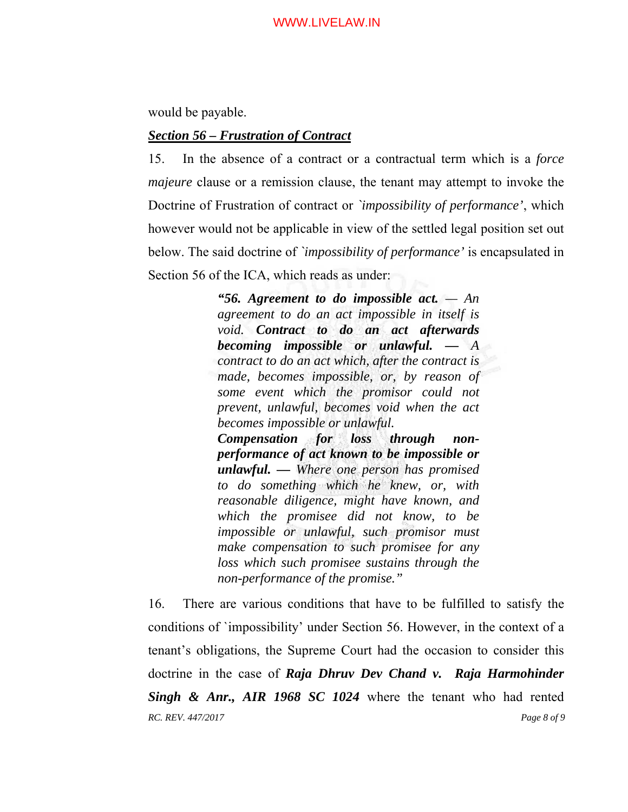would be payable.

# *Section 56 – Frustration of Contract*

15. In the absence of a contract or a contractual term which is a *force majeure* clause or a remission clause, the tenant may attempt to invoke the Doctrine of Frustration of contract or *`impossibility of performance'*, which however would not be applicable in view of the settled legal position set out below. The said doctrine of *`impossibility of performance'* is encapsulated in Section 56 of the ICA, which reads as under:

> *"56. Agreement to do impossible act. — An agreement to do an act impossible in itself is void. Contract to do an act afterwards becoming impossible or unlawful. — A contract to do an act which, after the contract is made, becomes impossible, or, by reason of some event which the promisor could not prevent, unlawful, becomes void when the act becomes impossible or unlawful. Compensation for loss through nonperformance of act known to be impossible or unlawful. — Where one person has promised to do something which he knew, or, with reasonable diligence, might have known, and which the promisee did not know, to be impossible or unlawful, such promisor must make compensation to such promisee for any loss which such promisee sustains through the non-performance of the promise."*

*RC. REV. 447/2017 Page 8 of 9*  16. There are various conditions that have to be fulfilled to satisfy the conditions of `impossibility' under Section 56. However, in the context of a tenant's obligations, the Supreme Court had the occasion to consider this doctrine in the case of *Raja Dhruv Dev Chand v. Raja Harmohinder Singh & Anr., AIR 1968 SC 1024* where the tenant who had rented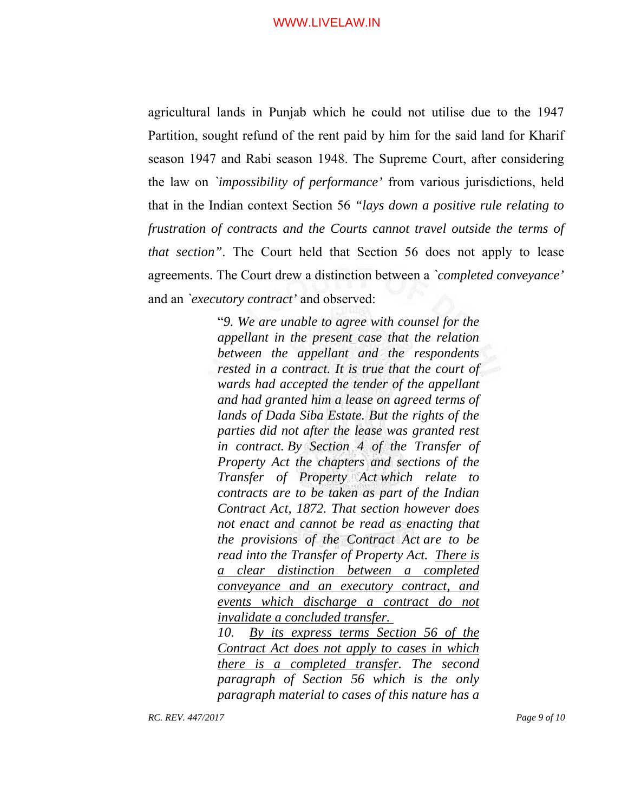agricultural lands in Punjab which he could not utilise due to the 1947 Partition, sought refund of the rent paid by him for the said land for Kharif season 1947 and Rabi season 1948. The Supreme Court, after considering the law on *`impossibility of performance'* from various jurisdictions, held that in the Indian context Section 56 *"lays down a positive rule relating to frustration of contracts and the Courts cannot travel outside the terms of that section"*. The Court held that Section 56 does not apply to lease agreements. The Court drew a distinction between a *`completed conveyance'* and an *`executory contract'* and observed:

> "*9. We are unable to agree with counsel for the appellant in the present case that the relation between the appellant and the respondents rested in a contract. It is true that the court of wards had accepted the tender of the appellant and had granted him a lease on agreed terms of lands of Dada Siba Estate. But the rights of the parties did not after the lease was granted rest in contract. By Section 4 of the Transfer of Property Act the chapters and sections of the Transfer of Property Act which relate to contracts are to be taken as part of the Indian Contract Act, 1872. That section however does not enact and cannot be read as enacting that the provisions of the Contract Act are to be read into the Transfer of Property Act. There is a clear distinction between a completed conveyance and an executory contract, and events which discharge a contract do not invalidate a concluded transfer.*

> *10. By its express terms Section 56 of the Contract Act does not apply to cases in which there is a completed transfer. The second paragraph of Section 56 which is the only paragraph material to cases of this nature has a*

*RC. REV. 447/2017 Page 9 of 10*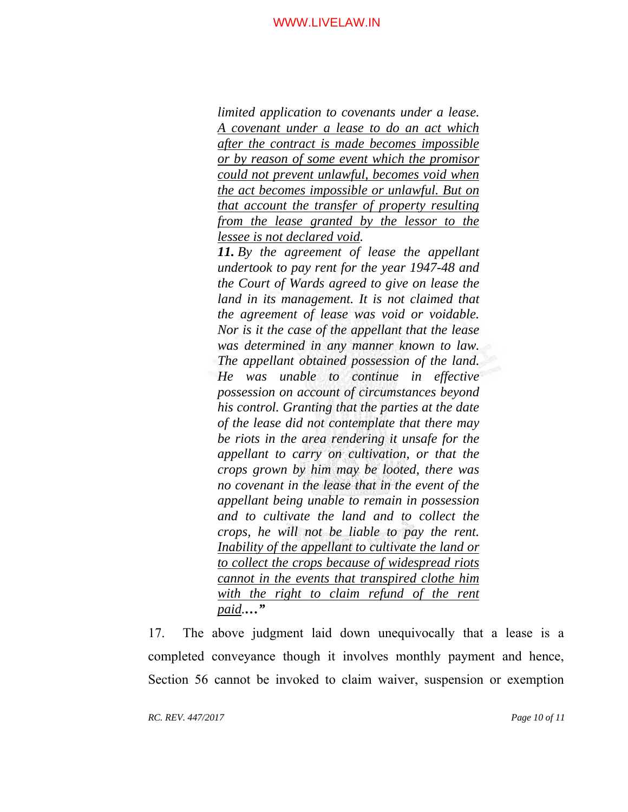*limited application to covenants under a lease. A covenant under a lease to do an act which after the contract is made becomes impossible or by reason of some event which the promisor could not prevent unlawful, becomes void when the act becomes impossible or unlawful. But on that account the transfer of property resulting from the lease granted by the lessor to the lessee is not declared void.* 

*11. By the agreement of lease the appellant undertook to pay rent for the year 1947-48 and the Court of Wards agreed to give on lease the land in its management. It is not claimed that the agreement of lease was void or voidable. Nor is it the case of the appellant that the lease was determined in any manner known to law. The appellant obtained possession of the land. He was unable to continue in effective possession on account of circumstances beyond his control. Granting that the parties at the date of the lease did not contemplate that there may be riots in the area rendering it unsafe for the appellant to carry on cultivation, or that the crops grown by him may be looted, there was no covenant in the lease that in the event of the appellant being unable to remain in possession and to cultivate the land and to collect the crops, he will not be liable to pay the rent. Inability of the appellant to cultivate the land or to collect the crops because of widespread riots cannot in the events that transpired clothe him with the right to claim refund of the rent paid.…"*

17. The above judgment laid down unequivocally that a lease is a completed conveyance though it involves monthly payment and hence, Section 56 cannot be invoked to claim waiver, suspension or exemption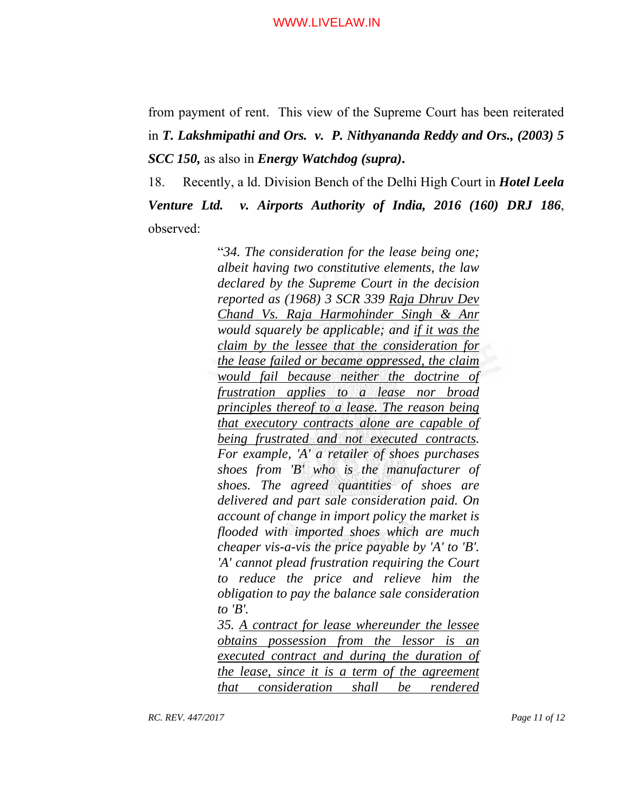from payment of rent. This view of the Supreme Court has been reiterated in *T. Lakshmipathi and Ors. v. P. Nithyananda Reddy and Ors., (2003) 5 SCC 150,* as also in *Energy Watchdog (supra)***.**

18. Recently, a ld. Division Bench of the Delhi High Court in *Hotel Leela Venture Ltd. v. Airports Authority of India, 2016 (160) DRJ 186*, observed:

> "*34. The consideration for the lease being one; albeit having two constitutive elements, the law declared by the Supreme Court in the decision reported as (1968) 3 SCR 339 Raja Dhruv Dev Chand Vs. Raja Harmohinder Singh & Anr would squarely be applicable; and if it was the claim by the lessee that the consideration for the lease failed or became oppressed, the claim would fail because neither the doctrine of frustration applies to a lease nor broad principles thereof to a lease. The reason being that executory contracts alone are capable of being frustrated and not executed contracts. For example, 'A' a retailer of shoes purchases shoes from 'B' who is the manufacturer of shoes. The agreed quantities of shoes are delivered and part sale consideration paid. On account of change in import policy the market is flooded with imported shoes which are much cheaper vis-a-vis the price payable by 'A' to 'B'. 'A' cannot plead frustration requiring the Court to reduce the price and relieve him the obligation to pay the balance sale consideration to 'B'.*

> *35. A contract for lease whereunder the lessee obtains possession from the lessor is an executed contract and during the duration of the lease, since it is a term of the agreement that consideration shall be rendered*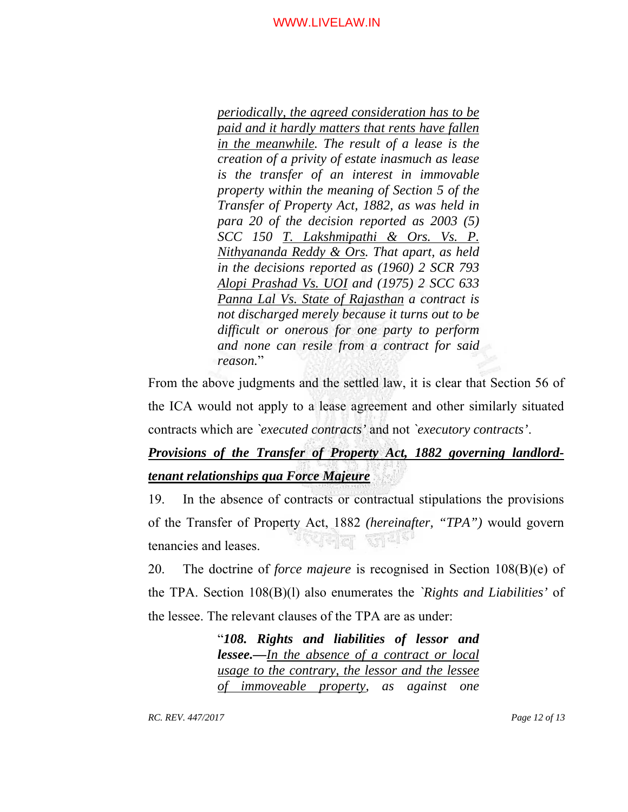*periodically, the agreed consideration has to be paid and it hardly matters that rents have fallen in the meanwhile. The result of a lease is the creation of a privity of estate inasmuch as lease is the transfer of an interest in immovable property within the meaning of Section 5 of the Transfer of Property Act, 1882, as was held in para 20 of the decision reported as 2003 (5) SCC 150 T. Lakshmipathi & Ors. Vs. P. Nithyananda Reddy & Ors. That apart, as held in the decisions reported as (1960) 2 SCR 793 Alopi Prashad Vs. UOI and (1975) 2 SCC 633 Panna Lal Vs. State of Rajasthan a contract is not discharged merely because it turns out to be difficult or onerous for one party to perform and none can resile from a contract for said reason.*"

From the above judgments and the settled law, it is clear that Section 56 of the ICA would not apply to a lease agreement and other similarly situated contracts which are *`executed contracts'* and not *`executory contracts'*.

# *Provisions of the Transfer of Property Act, 1882 governing landlordtenant relationships qua Force Majeure*

19. In the absence of contracts or contractual stipulations the provisions of the Transfer of Property Act, 1882 *(hereinafter, "TPA")* would govern যোদ্বাল জয<sup>়ে</sup> tenancies and leases.

20. The doctrine of *force majeure* is recognised in Section 108(B)(e) of the TPA. Section 108(B)(l) also enumerates the *`Rights and Liabilities'* of the lessee. The relevant clauses of the TPA are as under:

> "*108. Rights and liabilities of lessor and lessee.—In the absence of a contract or local usage to the contrary, the lessor and the lessee of immoveable property, as against one*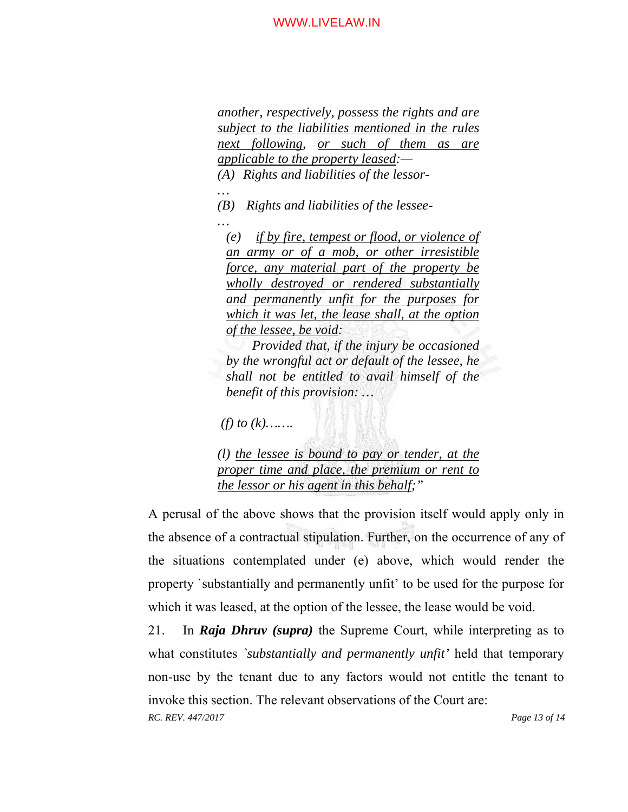*another, respectively, possess the rights and are subject to the liabilities mentioned in the rules next following, or such of them as are applicable to the property leased:—* 

*(A) Rights and liabilities of the lessor- …* 

*(B) Rights and liabilities of the lessee- …* 

*(e) if by fire, tempest or flood, or violence of an army or of a mob, or other irresistible force, any material part of the property be wholly destroyed or rendered substantially and permanently unfit for the purposes for which it was let, the lease shall, at the option of the lessee, be void:* 

*Provided that, if the injury be occasioned by the wrongful act or default of the lessee, he shall not be entitled to avail himself of the benefit of this provision: …* 

 *(f) to (k)…….* 

*(l) the lessee is bound to pay or tender, at the proper time and place, the premium or rent to the lessor or his agent in this behalf;"* 

A perusal of the above shows that the provision itself would apply only in the absence of a contractual stipulation. Further, on the occurrence of any of the situations contemplated under (e) above, which would render the property `substantially and permanently unfit' to be used for the purpose for which it was leased, at the option of the lessee, the lease would be void.

*RC. REV. 447/2017 Page 13 of 14*  21. In *Raja Dhruv (supra)* the Supreme Court, while interpreting as to what constitutes *`substantially and permanently unfit'* held that temporary non-use by the tenant due to any factors would not entitle the tenant to invoke this section. The relevant observations of the Court are: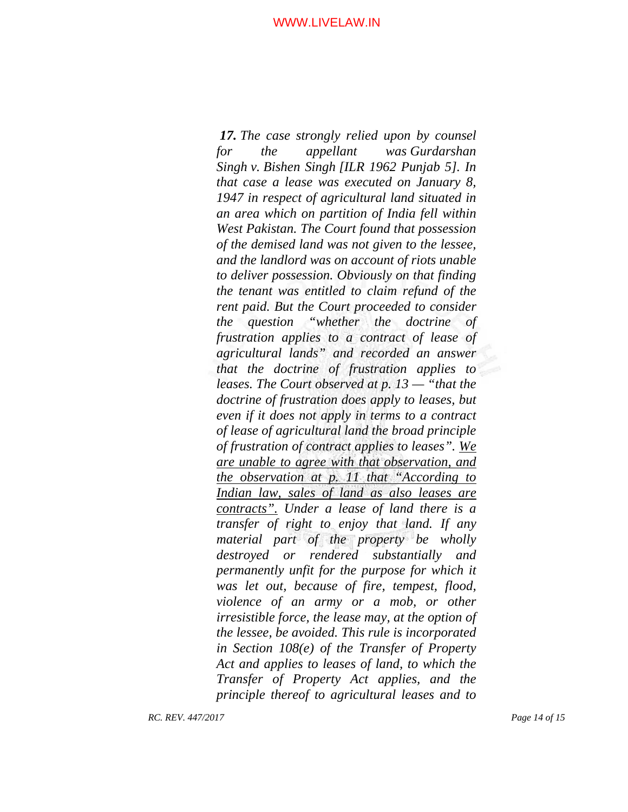*17. The case strongly relied upon by counsel for the appellant was Gurdarshan Singh v. Bishen Singh [ILR 1962 Punjab 5]. In that case a lease was executed on January 8, 1947 in respect of agricultural land situated in an area which on partition of India fell within West Pakistan. The Court found that possession of the demised land was not given to the lessee, and the landlord was on account of riots unable to deliver possession. Obviously on that finding the tenant was entitled to claim refund of the rent paid. But the Court proceeded to consider the question "whether the doctrine of frustration applies to a contract of lease of agricultural lands" and recorded an answer that the doctrine of frustration applies to leases. The Court observed at p. 13 — "that the doctrine of frustration does apply to leases, but even if it does not apply in terms to a contract of lease of agricultural land the broad principle of frustration of contract applies to leases". We are unable to agree with that observation, and the observation at p. 11 that "According to Indian law, sales of land as also leases are contracts". Under a lease of land there is a transfer of right to enjoy that land. If any material part of the property be wholly destroyed or rendered substantially and permanently unfit for the purpose for which it was let out, because of fire, tempest, flood, violence of an army or a mob, or other irresistible force, the lease may, at the option of the lessee, be avoided. This rule is incorporated in Section 108(e) of the Transfer of Property Act and applies to leases of land, to which the Transfer of Property Act applies, and the principle thereof to agricultural leases and to*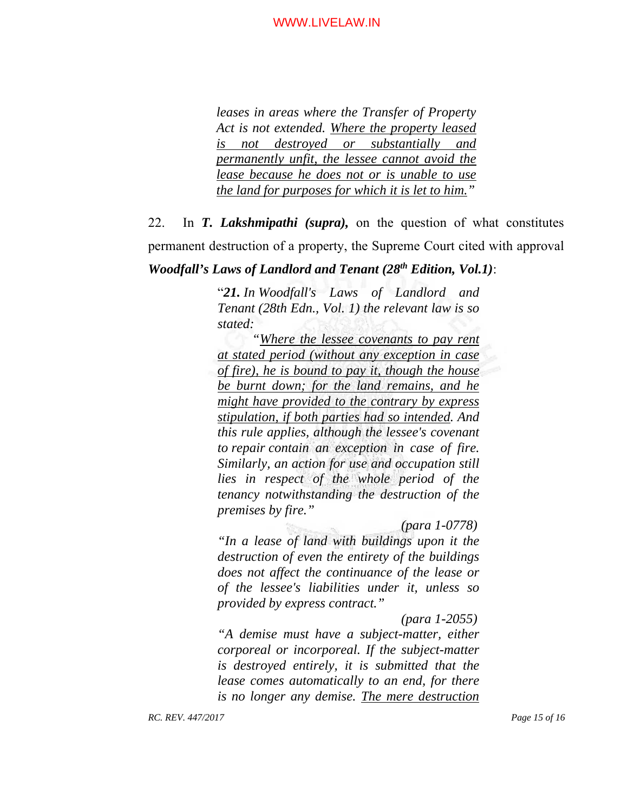*leases in areas where the Transfer of Property Act is not extended. Where the property leased is not destroyed or substantially and permanently unfit, the lessee cannot avoid the lease because he does not or is unable to use the land for purposes for which it is let to him."*

22. In *T. Lakshmipathi (supra),* on the question of what constitutes permanent destruction of a property, the Supreme Court cited with approval

# *Woodfall's Laws of Landlord and Tenant (28th Edition, Vol.1)*:

"*21. In Woodfall's Laws of Landlord and Tenant (28th Edn., Vol. 1) the relevant law is so stated:*

*"Where the lessee covenants to pay rent at stated period (without any exception in case of fire), he is bound to pay it, though the house be burnt down; for the land remains, and he might have provided to the contrary by express stipulation, if both parties had so intended. And this rule applies, although the lessee's covenant to repair contain an exception in case of fire. Similarly, an action for use and occupation still lies in respect of the whole period of the tenancy notwithstanding the destruction of the premises by fire."* 

 *(para 1-0778) "In a lease of land with buildings upon it the destruction of even the entirety of the buildings does not affect the continuance of the lease or of the lessee's liabilities under it, unless so provided by express contract."* 

 *(para 1-2055)* 

*"A demise must have a subject-matter, either corporeal or incorporeal. If the subject-matter is destroyed entirely, it is submitted that the lease comes automatically to an end, for there is no longer any demise. The mere destruction*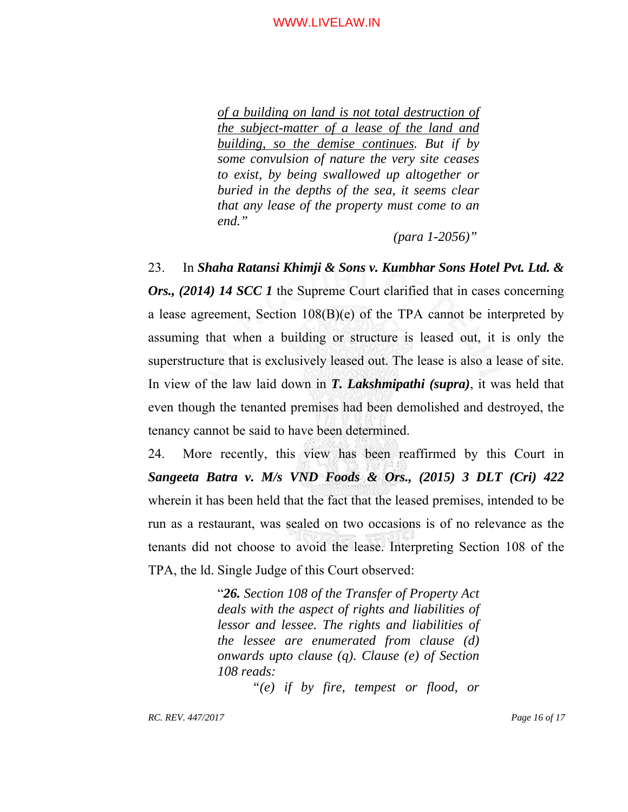*of a building on land is not total destruction of the subject-matter of a lease of the land and building, so the demise continues. But if by some convulsion of nature the very site ceases to exist, by being swallowed up altogether or buried in the depths of the sea, it seems clear that any lease of the property must come to an end."* 

 *(para 1-2056)"* 

23. In *Shaha Ratansi Khimji & Sons v. Kumbhar Sons Hotel Pvt. Ltd. & Ors., (2014) 14 SCC 1* the Supreme Court clarified that in cases concerning a lease agreement, Section 108(B)(e) of the TPA cannot be interpreted by assuming that when a building or structure is leased out, it is only the superstructure that is exclusively leased out. The lease is also a lease of site. In view of the law laid down in *T. Lakshmipathi (supra)*, it was held that even though the tenanted premises had been demolished and destroyed, the tenancy cannot be said to have been determined.

24. More recently, this view has been reaffirmed by this Court in *Sangeeta Batra v. M/s VND Foods & Ors., (2015) 3 DLT (Cri) 422* wherein it has been held that the fact that the leased premises, intended to be run as a restaurant, was sealed on two occasions is of no relevance as the tenants did not choose to avoid the lease. Interpreting Section 108 of the TPA, the ld. Single Judge of this Court observed:

> "*26. Section 108 of the Transfer of Property Act deals with the aspect of rights and liabilities of lessor and lessee. The rights and liabilities of the lessee are enumerated from clause (d) onwards upto clause (q). Clause (e) of Section 108 reads:*

> > *"(e) if by fire, tempest or flood, or*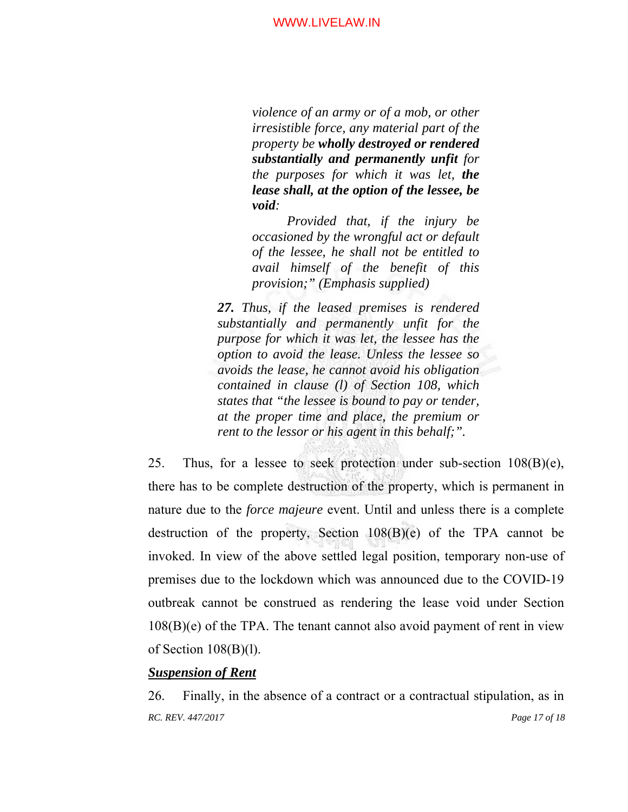*violence of an army or of a mob, or other irresistible force, any material part of the property be wholly destroyed or rendered substantially and permanently unfit for the purposes for which it was let, the lease shall, at the option of the lessee, be void:* 

*Provided that, if the injury be occasioned by the wrongful act or default of the lessee, he shall not be entitled to avail himself of the benefit of this provision;" (Emphasis supplied)* 

*27. Thus, if the leased premises is rendered substantially and permanently unfit for the purpose for which it was let, the lessee has the option to avoid the lease. Unless the lessee so avoids the lease, he cannot avoid his obligation contained in clause (l) of Section 108, which states that "the lessee is bound to pay or tender, at the proper time and place, the premium or rent to the lessor or his agent in this behalf;".* 

25. Thus, for a lessee to seek protection under sub-section  $108(B)(e)$ , there has to be complete destruction of the property, which is permanent in nature due to the *force majeure* event. Until and unless there is a complete destruction of the property, Section 108(B)(e) of the TPA cannot be invoked. In view of the above settled legal position, temporary non-use of premises due to the lockdown which was announced due to the COVID-19 outbreak cannot be construed as rendering the lease void under Section 108(B)(e) of the TPA. The tenant cannot also avoid payment of rent in view of Section  $108(B)(l)$ .

# *Suspension of Rent*

*RC. REV. 447/2017 Page 17 of 18*  26. Finally, in the absence of a contract or a contractual stipulation, as in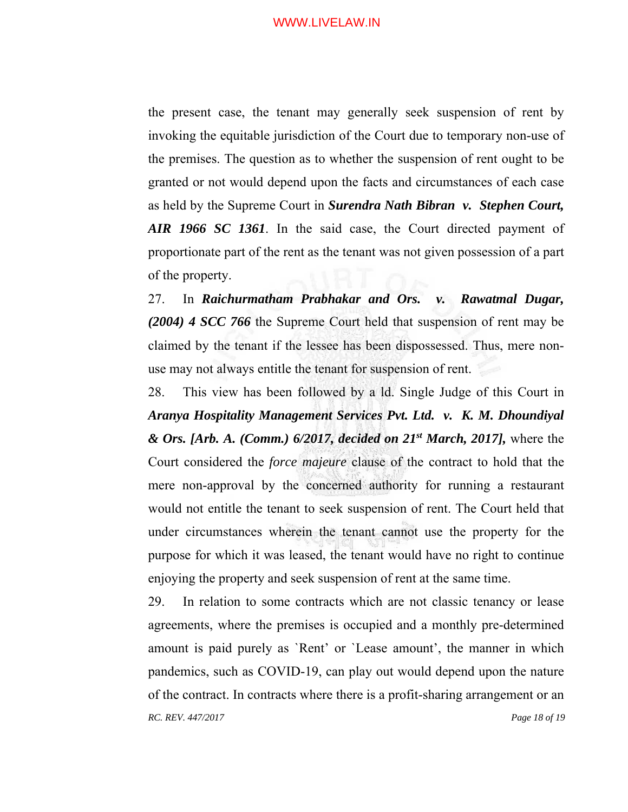the present case, the tenant may generally seek suspension of rent by invoking the equitable jurisdiction of the Court due to temporary non-use of the premises. The question as to whether the suspension of rent ought to be granted or not would depend upon the facts and circumstances of each case as held by the Supreme Court in *Surendra Nath Bibran v. Stephen Court, AIR 1966 SC 1361*. In the said case, the Court directed payment of proportionate part of the rent as the tenant was not given possession of a part of the property.

27. In *Raichurmatham Prabhakar and Ors. v. Rawatmal Dugar, (2004) 4 SCC 766* the Supreme Court held that suspension of rent may be claimed by the tenant if the lessee has been dispossessed. Thus, mere nonuse may not always entitle the tenant for suspension of rent.

28. This view has been followed by a ld. Single Judge of this Court in *Aranya Hospitality Management Services Pvt. Ltd. v. K. M. Dhoundiyal & Ors. [Arb. A. (Comm.) 6/2017, decided on 21st March, 2017],* where the Court considered the *force majeure* clause of the contract to hold that the mere non-approval by the concerned authority for running a restaurant would not entitle the tenant to seek suspension of rent. The Court held that under circumstances wherein the tenant cannot use the property for the purpose for which it was leased, the tenant would have no right to continue enjoying the property and seek suspension of rent at the same time.

*RC. REV. 447/2017 Page 18 of 19*  29. In relation to some contracts which are not classic tenancy or lease agreements, where the premises is occupied and a monthly pre-determined amount is paid purely as `Rent' or `Lease amount', the manner in which pandemics, such as COVID-19, can play out would depend upon the nature of the contract. In contracts where there is a profit-sharing arrangement or an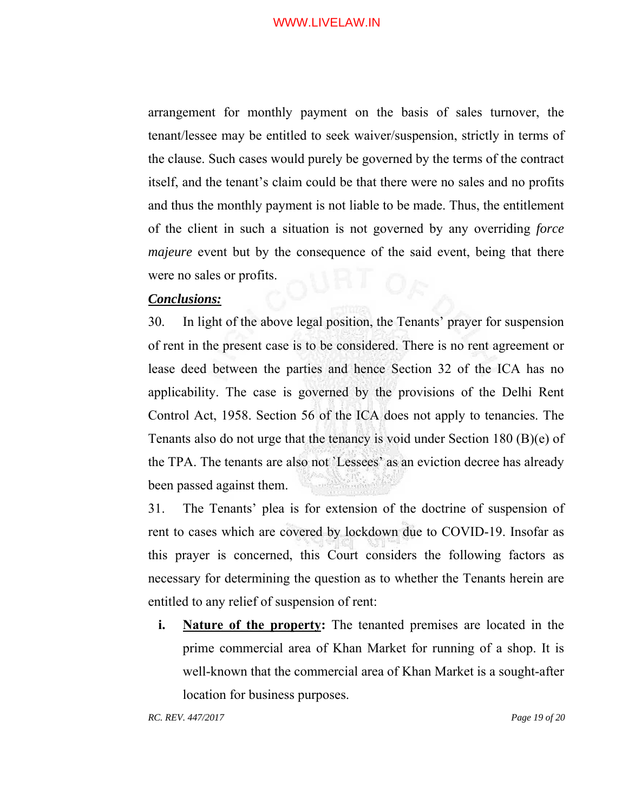arrangement for monthly payment on the basis of sales turnover, the tenant/lessee may be entitled to seek waiver/suspension, strictly in terms of the clause. Such cases would purely be governed by the terms of the contract itself, and the tenant's claim could be that there were no sales and no profits and thus the monthly payment is not liable to be made. Thus, the entitlement of the client in such a situation is not governed by any overriding *force majeure* event but by the consequence of the said event, being that there were no sales or profits.

# *Conclusions:*

30. In light of the above legal position, the Tenants' prayer for suspension of rent in the present case is to be considered. There is no rent agreement or lease deed between the parties and hence Section 32 of the ICA has no applicability. The case is governed by the provisions of the Delhi Rent Control Act, 1958. Section 56 of the ICA does not apply to tenancies. The Tenants also do not urge that the tenancy is void under Section 180 (B)(e) of the TPA. The tenants are also not `Lessees' as an eviction decree has already been passed against them.

31. The Tenants' plea is for extension of the doctrine of suspension of rent to cases which are covered by lockdown due to COVID-19. Insofar as this prayer is concerned, this Court considers the following factors as necessary for determining the question as to whether the Tenants herein are entitled to any relief of suspension of rent:

**i.** Nature of the property: The tenanted premises are located in the prime commercial area of Khan Market for running of a shop. It is well-known that the commercial area of Khan Market is a sought-after location for business purposes.

*RC. REV. 447/2017 Page 19 of 20*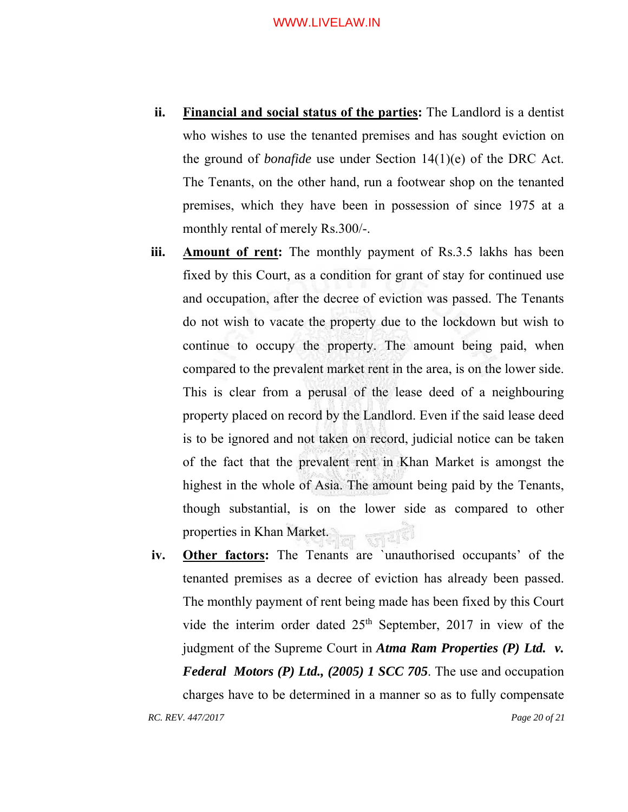- **ii. Financial and social status of the parties:** The Landlord is a dentist who wishes to use the tenanted premises and has sought eviction on the ground of *bonafide* use under Section 14(1)(e) of the DRC Act. The Tenants, on the other hand, run a footwear shop on the tenanted premises, which they have been in possession of since 1975 at a monthly rental of merely Rs.300/-.
- **iii. Amount of rent:** The monthly payment of Rs.3.5 lakhs has been fixed by this Court, as a condition for grant of stay for continued use and occupation, after the decree of eviction was passed. The Tenants do not wish to vacate the property due to the lockdown but wish to continue to occupy the property. The amount being paid, when compared to the prevalent market rent in the area, is on the lower side. This is clear from a perusal of the lease deed of a neighbouring property placed on record by the Landlord. Even if the said lease deed is to be ignored and not taken on record, judicial notice can be taken of the fact that the prevalent rent in Khan Market is amongst the highest in the whole of Asia. The amount being paid by the Tenants, though substantial, is on the lower side as compared to other properties in Khan Market.
- *RC. REV. 447/2017 Page 20 of 21*  **iv. Other factors:** The Tenants are `unauthorised occupants' of the tenanted premises as a decree of eviction has already been passed. The monthly payment of rent being made has been fixed by this Court vide the interim order dated 25<sup>th</sup> September, 2017 in view of the judgment of the Supreme Court in *Atma Ram Properties (P) Ltd. v. Federal Motors (P) Ltd., (2005) 1 SCC 705*. The use and occupation charges have to be determined in a manner so as to fully compensate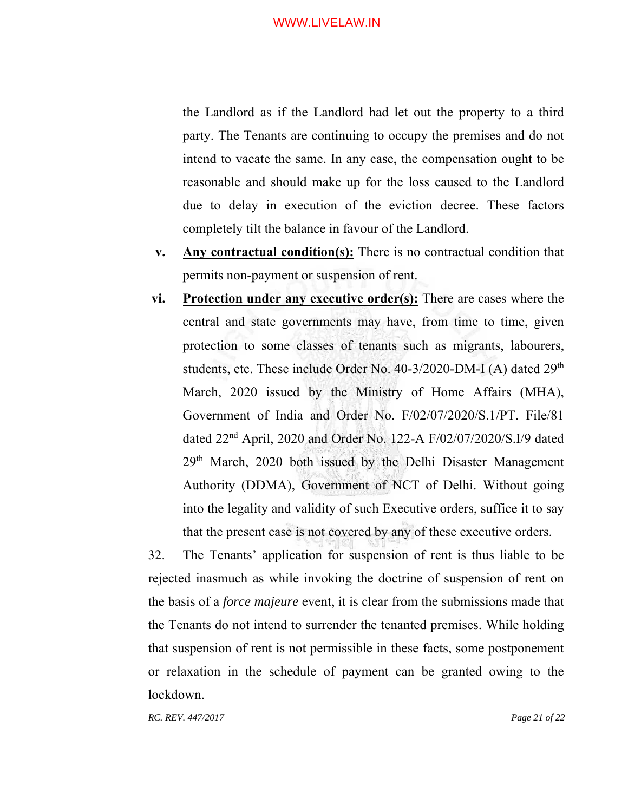the Landlord as if the Landlord had let out the property to a third party. The Tenants are continuing to occupy the premises and do not intend to vacate the same. In any case, the compensation ought to be reasonable and should make up for the loss caused to the Landlord due to delay in execution of the eviction decree. These factors completely tilt the balance in favour of the Landlord.

- **v. Any contractual condition(s):** There is no contractual condition that permits non-payment or suspension of rent.
- **vi. Protection under any executive order(s):** There are cases where the central and state governments may have, from time to time, given protection to some classes of tenants such as migrants, labourers, students, etc. These include Order No. 40-3/2020-DM-I (A) dated 29<sup>th</sup> March, 2020 issued by the Ministry of Home Affairs (MHA), Government of India and Order No. F/02/07/2020/S.1/PT. File/81 dated 22nd April, 2020 and Order No. 122-A F/02/07/2020/S.I/9 dated 29th March, 2020 both issued by the Delhi Disaster Management Authority (DDMA), Government of NCT of Delhi. Without going into the legality and validity of such Executive orders, suffice it to say that the present case is not covered by any of these executive orders.

32. The Tenants' application for suspension of rent is thus liable to be rejected inasmuch as while invoking the doctrine of suspension of rent on the basis of a *force majeure* event, it is clear from the submissions made that the Tenants do not intend to surrender the tenanted premises. While holding that suspension of rent is not permissible in these facts, some postponement or relaxation in the schedule of payment can be granted owing to the lockdown.

*RC. REV. 447/2017 Page 21 of 22*